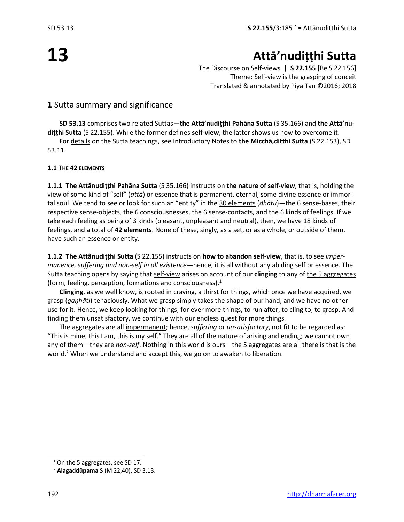# **13**

## **Attā'nudiṭṭhi Sutta**

The Discourse on Self-views | **S 22.155** [Be S 22.156] Theme: Self-view is the grasping of conceit Translated & annotated by Piya Tan ©2016; 2018

#### **1** Sutta summary and significance

**SD 53.13** comprises two related Suttas—**the Attā'nudiṭṭhi Pahāna Sutta** (S 35.166) and **the Attā'nudiṭṭhi Sutta** (S 22.155). While the former defines **self-view**, the latter shows us how to overcome it.

For details on the Sutta teachings, see Introductory Notes to **the Micchā,diṭthi Sutta** (S 22.153), SD 53.11.

#### **1.1 THE 42 ELEMENTS**

**1.1.1 The Attânudiṭṭhi Pahāna Sutta** (S 35.166) instructs on **the nature of self-view**, that is, holding the view of some kind of "self" (*attā*) or essence that is permanent, eternal, some divine essence or immortal soul. We tend to see or look for such an "entity" in the 30 elements (*dhātu*)—the 6 sense-bases, their respective sense-objects, the 6 consciousnesses, the 6 sense-contacts, and the 6 kinds of feelings. If we take each feeling as being of 3 kinds (pleasant, unpleasant and neutral), then, we have 18 kinds of feelings, and a total of **42 elements**. None of these, singly, as a set, or as a whole, or outside of them, have such an essence or entity.

**1.1.2 The Attânudiṭṭhi Sutta** (S 22.155) instructs on **how to abandon self-view**, that is, to see *impermanence, suffering and non-self in all existence*—hence, it is all without any abiding self or essence. The Sutta teaching opens by saying that self-view arises on account of our **clinging** to any of the 5 aggregates (form, feeling, perception, formations and consciousness). $1$ 

**Clinging**, as we well know, is rooted in craving, a thirst for things, which once we have acquired, we grasp (*gaṇhāti*) tenaciously. What we grasp simply takes the shape of our hand, and we have no other use for it. Hence, we keep looking for things, for ever more things, to run after, to cling to, to grasp. And finding them unsatisfactory, we continue with our endless quest for more things.

The aggregates are all impermanent; hence, *suffering* or *unsatisfactory*, not fit to be regarded as: "This is mine, this I am, this is my self." They are all of the nature of arising and ending; we cannot own any of them—they are *non-self*. Nothing in this world is ours—the 5 aggregates are all there is that is the world.<sup>2</sup> When we understand and accept this, we go on to awaken to liberation.

 $1$  On the 5 aggregates, see SD 17.

<sup>2</sup> **Alagaddûpama S** (M 22,40), SD 3.13.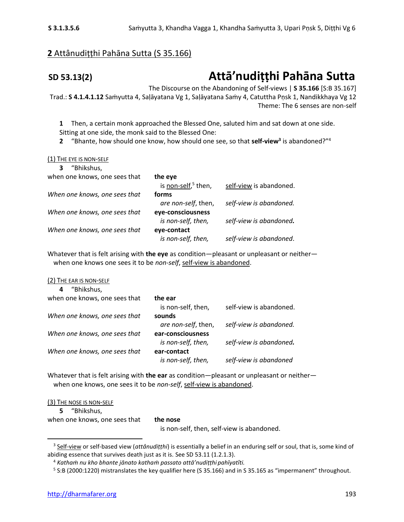### **2** Attânudiṭṭhi Pahāna Sutta (S 35.166)

## **SD 53.13(2) Attā'nudiṭṭhi Pahāna Sutta**

The Discourse on the Abandoning of Self-views | **S 35.166** [S:B 35.167] Trad.: **S 4.1.4.1.12** Saṁyutta 4, Saḷāyatana Vg 1, Saḷāyatana Saṁy 4, Catuttha Pṇsk 1, Nandikkhaya Vg 12 Theme: The 6 senses are non-self

**1** Then, a certain monk approached the Blessed One, saluted him and sat down at one side. Sitting at one side, the monk said to the Blessed One:

**2** "Bhante, how should one know, how should one see, so that **self-view<sup>3</sup>** is abandoned?"<sup>4</sup>

#### (1) THE EYE IS NON-SELF

| "Bhikshus,                    |                        |                         |
|-------------------------------|------------------------|-------------------------|
| when one knows, one sees that | the eye                |                         |
|                               | is non-self, $5$ then, | self-view is abandoned. |
| When one knows, one sees that | forms                  |                         |
|                               | are non-self, then,    | self-view is abandoned. |
| When one knows, one sees that | eye-consciousness      |                         |
|                               | is non-self, then,     | self-view is abandoned. |
| When one knows, one sees that | eye-contact            |                         |
|                               | is non-self, then,     | self-view is abandoned. |

Whatever that is felt arising with **the eye** as condition—pleasant or unpleasant or neither when one knows one sees it to be *non-self*, self-view is abandoned.

#### (2) THE EAR IS NON-SELF

| "Bhikshus,<br>4               |                     |                         |
|-------------------------------|---------------------|-------------------------|
| when one knows, one sees that | the ear             |                         |
|                               | is non-self, then,  | self-view is abandoned. |
| When one knows, one sees that | sounds              |                         |
|                               | are non-self, then, | self-view is abandoned. |
| When one knows, one sees that | ear-consciousness   |                         |
|                               | is non-self, then,  | self-view is abandoned. |
| When one knows, one sees that | ear-contact         |                         |
|                               | is non-self, then,  | self-view is abandoned  |

Whatever that is felt arising with **the ear** as condition—pleasant or unpleasant or neither when one knows, one sees it to be *non-self*, self-view is abandoned.

(3) THE NOSE IS NON-SELF

**5** "Bhikshus, when one knows, one sees that **the nose** 

is non-self, then, self-view is abandoned.

<sup>3</sup> Self-view or self-based view (*attânudiṭṭhi*) is essentially a belief in an enduring self or soul, that is, some kind of abiding essence that survives death just as it is. See SD 53.11 (1.2.1.3).

<sup>4</sup> *Kathaṁ nu kho bhante jānato kathaṁ passato attā'nudiṭṭhi pahīyatîti.*

<sup>&</sup>lt;sup>5</sup> S:B (2000:1220) mistranslates the key qualifier here (S 35.166) and in S 35.165 as "impermanent" throughout.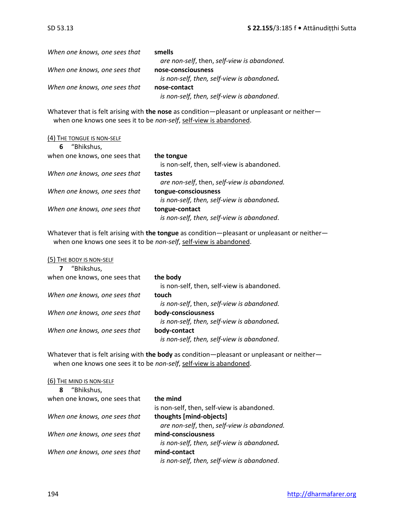| When one knows, one sees that | smells                                      |
|-------------------------------|---------------------------------------------|
|                               | are non-self, then, self-view is abandoned. |
| When one knows, one sees that | nose-consciousness                          |
|                               | is non-self, then, self-view is abandoned.  |
| When one knows, one sees that | nose-contact                                |
|                               | is non-self, then, self-view is abandoned.  |

Whatever that is felt arising with **the nose** as condition—pleasant or unpleasant or neither when one knows one sees it to be *non-self*, self-view is abandoned.

#### (4) THE TONGUE IS NON-SELF

| "Bhikshus,<br>6               |                                             |
|-------------------------------|---------------------------------------------|
| when one knows, one sees that | the tongue                                  |
|                               | is non-self, then, self-view is abandoned.  |
| When one knows, one sees that | tastes                                      |
|                               | are non-self, then, self-view is abandoned. |
| When one knows, one sees that | tongue-consciousness                        |
|                               | is non-self, then, self-view is abandoned.  |
| When one knows, one sees that | tongue-contact                              |
|                               | is non-self, then, self-view is abandoned.  |

Whatever that is felt arising with **the tongue** as condition—pleasant or unpleasant or neither when one knows one sees it to be non-self, self-view is abandoned.

(5) THE BODY IS NON-SELF

| "Bhikshus,                    |                                            |
|-------------------------------|--------------------------------------------|
| when one knows, one sees that | the body                                   |
|                               | is non-self, then, self-view is abandoned. |
| When one knows, one sees that | touch                                      |
|                               | is non-self, then, self-view is abandoned. |
| When one knows, one sees that | body-consciousness                         |
|                               | is non-self, then, self-view is abandoned. |
| When one knows, one sees that | body-contact                               |
|                               | is non-self, then, self-view is abandoned. |

Whatever that is felt arising with **the body** as condition—pleasant or unpleasant or neither when one knows one sees it to be *non-self*, self-view is abandoned.

| the mind                                    |
|---------------------------------------------|
| is non-self, then, self-view is abandoned.  |
| thoughts [mind-objects]                     |
| are non-self, then, self-view is abandoned. |
| mind-consciousness                          |
| is non-self, then, self-view is abandoned.  |
| mind-contact                                |
| is non-self, then, self-view is abandoned.  |
|                                             |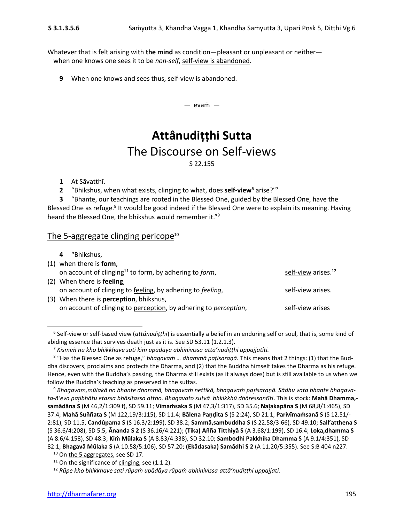Whatever that is felt arising with **the mind** as condition—pleasant or unpleasant or neither when one knows one sees it to be *non-self*, self-view is abandoned.

**9** When one knows and sees thus, self-view is abandoned.

— evaṁ —

### **Attânudiṭṭhi Sutta** The Discourse on Self-views S 22.155

**1** At Sāvatthī.

**2** "Bhikshus, when what exists, clinging to what, does **self-view**<sup>6</sup> arise?"<sup>7</sup>

**3** "Bhante, our teachings are rooted in the Blessed One, guided by the Blessed One, have the Blessed One as refuge.<sup>8</sup> It would be good indeed if the Blessed One were to explain its meaning. Having heard the Blessed One, the bhikshus would remember it."<sup>9</sup>

#### The 5-aggregate clinging pericope<sup>10</sup>

| 4 "Bhikshus,                                                               |                                 |
|----------------------------------------------------------------------------|---------------------------------|
| $(1)$ when there is form,                                                  |                                 |
| on account of clinging <sup>11</sup> to form, by adhering to <i>form</i> , | self-view arises. <sup>12</sup> |
| (2) When there is feeling,                                                 |                                 |
| on account of clinging to feeling, by adhering to feeling,                 | self-view arises.               |
| (3) When there is <b>perception</b> , bhikshus,                            |                                 |
| on account of clinging to perception, by adhering to perception,           | self-view arises                |

<sup>6</sup> Self-view or self-based view (*attânudiṭṭhi*) is essentially a belief in an enduring self or soul, that is, some kind of abiding essence that survives death just as it is. See SD 53.11 (1.2.1.3).

<sup>7</sup> *Kismiṁ nu kho bhikkhave sati kiṁ upādāya abhinivissa attā'nudiṭṭhi uppajjatîti.*

<sup>8</sup> "Has the Blessed One as refuge," *bhagavaṁ … dhammā paṭisaraṇā.* This means that 2 things: (1) that the Buddha discovers, proclaims and protects the Dharma, and (2) that the Buddha himself takes the Dharma as his refuge. Hence, even with the Buddha's passing, the Dharma still exists (as it always does) but is still available to us when we follow the Buddha's teaching as preserved in the suttas.

<sup>9</sup> *Bhagavam,mūlakā no bhante dhammā, bhagavaṁ nettikā, bhagavaṁ paisaraṇā. Sādhu vata bhante bhagavata-ñ'eva paibhātu etassa bhāsitassa attho. Bhagavato sutvā bhkikkhū dhāressantîti*. This is stock: **Mahā Dhamma, samādāna S** (M 46,2/1:309 f), SD 59.11; **Vīmaṁsaka S** (M 47,3/1:317), SD 35.6; **Naakapāna S** (M 68,8/1:465), SD 37.4; **Mahā Suññata S** (M 122,19/3:115), SD 11.4; **Bālena Paṇḍita S** (S 2:24), SD 21.1, **Parivīmaṁsanā S** (S 12.51/- 2:81), SD 11.5, **Candûpama S** (S 16.3/2:199), SD 38.2; **Sammā,sambuddha S** (S 22.58/3:66), SD 49.10; **Sall'atthena S** (S 36.6/4:208), SD 5.5, **Ānanda S 2** (S 36.16/4:221); **(Tika) Añña Titthiyā S** (A 3.68/1:199), SD 16.4; **Loka,dhamma S**  (A 8.6/4:158), SD 48.3; **Kiṁ Mūlaka S** (A 8.83/4:338), SD 32.10; **Sambodhi Pakkhika Dhamma S** (A 9.1/4:351), SD 82.1; **Bhagavā Mūlaka S** (A 10.58/5:106), SD 57.20; **(Ekādasaka) Samādhi S 2** (A 11.20/5:355). See S:B 404 n227.

<sup>&</sup>lt;sup>10</sup> On the 5 aggregates, see SD 17.

 $11$  On the significance of clinging, see (1.1.2).

<sup>12</sup> *Rūpe kho bhikkhave sati rūpaṁ upādāya rūpaṁ abhinivissa attā'nudiṭṭhi uppajjati.*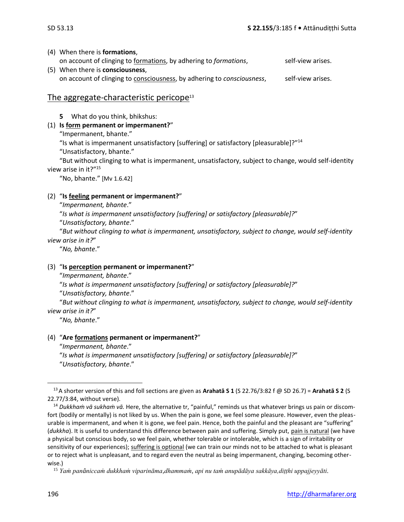#### (4) When there is **formations**,

- on account of clinging to *formations*, by adhering to *formations*, self-view arises.
- (5) When there is **consciousness**, on account of clinging to consciousness, by adhering to *consciousness*, self-view arises.

#### The aggregate-characteristic pericope $13$

**5** What do you think, bhikshus:

#### (1) **Is form permanent or impermanent?**"

"Impermanent, bhante."

"Is what is impermanent unsatisfactory [suffering] or satisfactory [pleasurable]?"<sup>14</sup>

"Unsatisfactory, bhante."

"But without clinging to what is impermanent, unsatisfactory, subject to change, would self-identity view arise in it?"<sup>15</sup>

"No, bhante." [Mv 1.6.42]

#### (2) "**Is feeling permanent or impermanent?**"

"*Impermanent, bhante*."

"*Is what is impermanent unsatisfactory [suffering] or satisfactory [pleasurable]?*"

"*Unsatisfactory, bhante*."

"*But without clinging to what is impermanent, unsatisfactory, subject to change, would self-identity view arise in it?*"

"*No, bhante*."

#### (3) "**Is perception permanent or impermanent?**"

"*Impermanent, bhante*."

"*Is what is impermanent unsatisfactory [suffering] or satisfactory [pleasurable]?*"

"*Unsatisfactory, bhante*."

"*But without clinging to what is impermanent, unsatisfactory, subject to change, would self-identity view arise in it?*"

"*No, bhante*."

#### (4) "**Are formations permanent or impermanent?**"

"*Impermanent, bhante*."

"*Is what is impermanent unsatisfactory [suffering] or satisfactory [pleasurable]?*" "*Unsatisfactory, bhante*."

<sup>13</sup>A shorter version of this and foll sections are given as **Arahatā S 1** (S 22.76/3:82 f @ SD 26.7) = **Arahatā S 2** (S 22.77/3:84, without verse).

<sup>14</sup> *Dukkhaṁ vā sukhaṁ vā.* Here, the alternative tr, "painful," reminds us that whatever brings us pain or discomfort (bodily or mentally) is not liked by us. When the pain is gone, we feel some pleasure. However, even the pleasurable is impermanent, and when it is gone, we feel pain. Hence, both the painful and the pleasant are "suffering" (*dukkha*). It is useful to understand this difference between pain and suffering. Simply put, pain is natural (we have a physical but conscious body, so we feel pain, whether tolerable or intolerable, which is a sign of irritability or sensitivity of our experiences); suffering is optional (we can train our minds not to be attached to what is pleasant or to reject what is unpleasant, and to regard even the neutral as being impermanent, changing, becoming otherwise.)

<sup>15</sup> *Yaṁ panâniccaṁ dukkhaṁ viparināma,dhammaṁ, api nu taṁ anupādāya sakkāya,diṭṭhi uppajjeyyāti.*